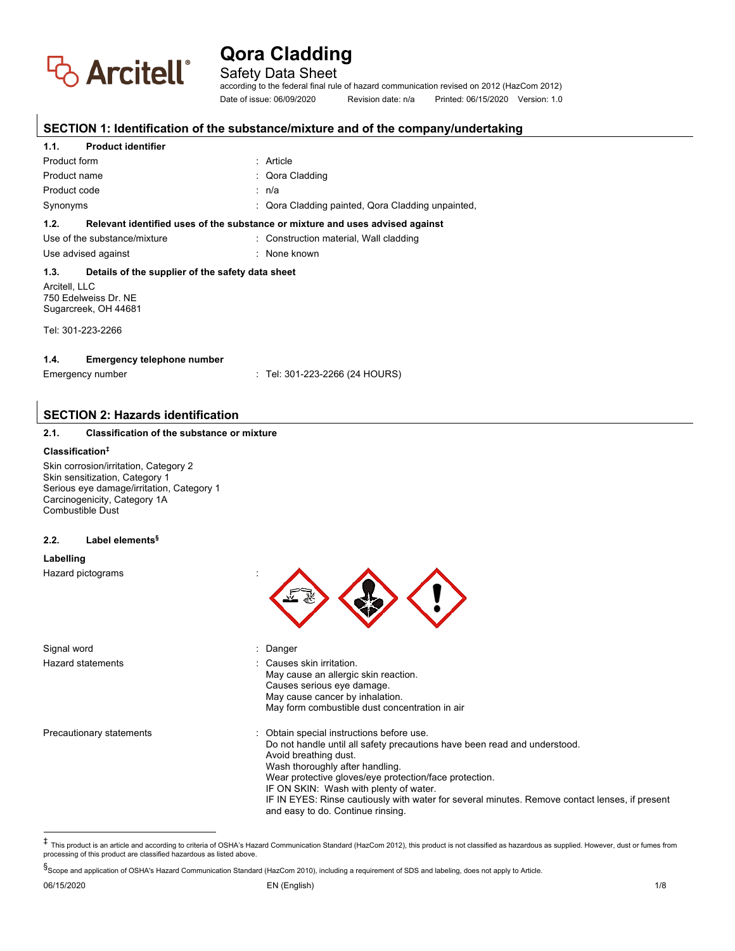

Safety Data Sheet

according to the federal final rule of hazard communication revised on 2012 (HazCom 2012) Date of issue: 06/09/2020 Revision date: n/a Printed: 06/15/2020 Version: 1.0

# **SECTION 1: Identification of the substance/mixture and of the company/undertaking**

#### **1.1. Product identifier**

| Product form                                                                                                                                   | $:$ Article                                                                   |
|------------------------------------------------------------------------------------------------------------------------------------------------|-------------------------------------------------------------------------------|
| Product name                                                                                                                                   | : Qora Cladding                                                               |
| Product code                                                                                                                                   | : n/a                                                                         |
| Synonyms                                                                                                                                       | : Qora Cladding painted, Qora Cladding unpainted,                             |
| 1.2.                                                                                                                                           | Relevant identified uses of the substance or mixture and uses advised against |
| Use of the substance/mixture                                                                                                                   | : Construction material, Wall cladding                                        |
| Use advised against                                                                                                                            | : None known                                                                  |
| 1.3.<br>Details of the supplier of the safety data sheet<br>Arcitell, LLC<br>750 Edelweiss Dr. NE<br>Sugarcreek, OH 44681<br>Tel: 301-223-2266 |                                                                               |
| 1.4.<br><b>Emergency telephone number</b><br>: Tel: 301-223-2266 (24 HOURS)<br>Emergency number                                                |                                                                               |

# **SECTION 2: Hazards identification**

#### **2.1. Classification of the substance or mixture**

#### **Classification‡**

Skin corrosion/irritation, Category 2 Skin sensitization, Category 1 Serious eye damage/irritation, Category 1 Carcinogenicity, Category 1A Combustible Dust

#### **2.2. Label elements§**

#### **Labelling**

Hazard pictograms :

Signal word in the state of the Signal word in the Signal word in the Signal word in the Signal word in the Si Hazard statements : Causes skin irritation. May cause an allergic skin reaction. Causes serious eye damage. May cause cancer by inhalation. May form combustible dust concentration in air Precautionary statements **in the cautionary statements** : Obtain special instructions before use. Do not handle until all safety precautions have been read and understood. Avoid breathing dust. Wash thoroughly after handling. Wear protective gloves/eye protection/face protection. IF ON SKIN: Wash with plenty of water. IF IN EYES: Rinse cautiously with water for several minutes. Remove contact lenses, if present and easy to do. Continue rinsing.

‡ This product is an article and according to criteria of OSHA's Hazard Communication Standard (HazCom 2012), this product is not classified as hazardous as supplied. However, dust or fumes from processing of this product are classified hazardous as listed above.

§Scope and application of OSHA's Hazard Communication Standard (HazCom 2010), including a requirement of SDS and labeling, does not apply to Article.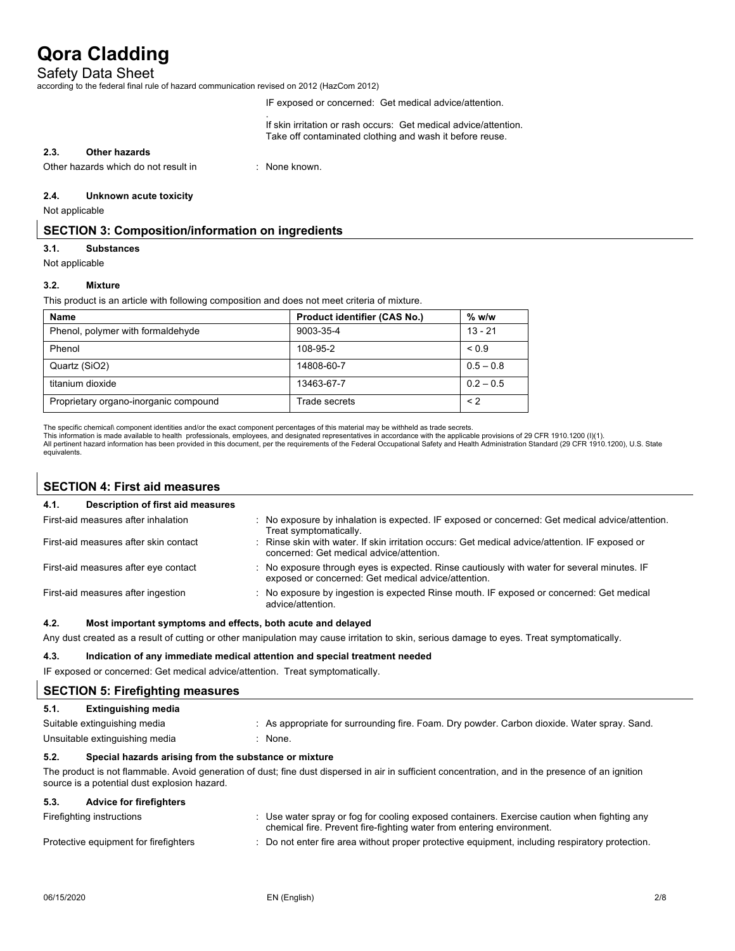### Safety Data Sheet

according to the federal final rule of hazard communication revised on 2012 (HazCom 2012)

.

IF exposed or concerned: Get medical advice/attention.

If skin irritation or rash occurs: Get medical advice/attention. Take off contaminated clothing and wash it before reuse.

#### **2.3. Other hazards**

Other hazards which do not result in : None known.

#### **2.4. Unknown acute toxicity**

Not applicable

### **SECTION 3: Composition/information on ingredients**

#### **3.1. Substances**

Not applicable

#### **3.2. Mixture**

This product is an article with following composition and does not meet criteria of mixture.

| <b>Name</b>                           | <b>Product identifier (CAS No.)</b> | $%$ w/w     |
|---------------------------------------|-------------------------------------|-------------|
| Phenol, polymer with formaldehyde     | 9003-35-4                           | $13 - 21$   |
| Phenol                                | 108-95-2                            | ${}_{0.9}$  |
| Quartz (SiO2)                         | 14808-60-7                          | $0.5 - 0.8$ |
| titanium dioxide                      | 13463-67-7                          | $0.2 - 0.5$ |
| Proprietary organo-inorganic compound | Trade secrets                       | $\leq$ 2    |

The specific chemical\ component identities and/or the exact component percentages of this material may be withheld as trade secrets.

This information is made available to health professionals, employees, and designated representatives in accordance with the applicable provisions of 29 CFR 1910.1200 (I)(1).<br>All pertinent hazard information has been prov equivalents.

# **SECTION 4: First aid measures**

### **4.1. Description of first aid measures**

| First-aid measures after inhalation   | No exposure by inhalation is expected. IF exposed or concerned: Get medical advice/attention.<br>Treat symptomatically.                          |
|---------------------------------------|--------------------------------------------------------------------------------------------------------------------------------------------------|
| First-aid measures after skin contact | Rinse skin with water. If skin irritation occurs: Get medical advice/attention. IF exposed or<br>concerned: Get medical advice/attention.        |
| First-aid measures after eye contact  | No exposure through eyes is expected. Rinse cautiously with water for several minutes. IF<br>exposed or concerned: Get medical advice/attention. |
| First-aid measures after ingestion    | No exposure by ingestion is expected Rinse mouth. IF exposed or concerned: Get medical<br>advice/attention.                                      |
| $\sim$                                |                                                                                                                                                  |

#### **4.2. Most important symptoms and effects, both acute and delayed**

Any dust created as a result of cutting or other manipulation may cause irritation to skin, serious damage to eyes. Treat symptomatically.

#### **4.3. Indication of any immediate medical attention and special treatment needed**

IF exposed or concerned: Get medical advice/attention. Treat symptomatically.

### **SECTION 5: Firefighting measures**

| 5.1. | Extinguishing media            |                                                                                             |
|------|--------------------------------|---------------------------------------------------------------------------------------------|
|      | Suitable extinguishing media   | : As appropriate for surrounding fire. Foam. Dry powder. Carbon dioxide. Water spray. Sand. |
|      | Unsuitable extinguishing media | None.                                                                                       |

#### **5.2. Special hazards arising from the substance or mixture**

The product is not flammable. Avoid generation of dust; fine dust dispersed in air in sufficient concentration, and in the presence of an ignition source is a potential dust explosion hazard.

#### **5.3. Advice for firefighters**

| Firefighting instructions             | Use water spray or fog for cooling exposed containers. Exercise caution when fighting any<br>chemical fire. Prevent fire-fighting water from entering environment. |
|---------------------------------------|--------------------------------------------------------------------------------------------------------------------------------------------------------------------|
| Protective equipment for firefighters | Do not enter fire area without proper protective equipment, including respiratory protection.                                                                      |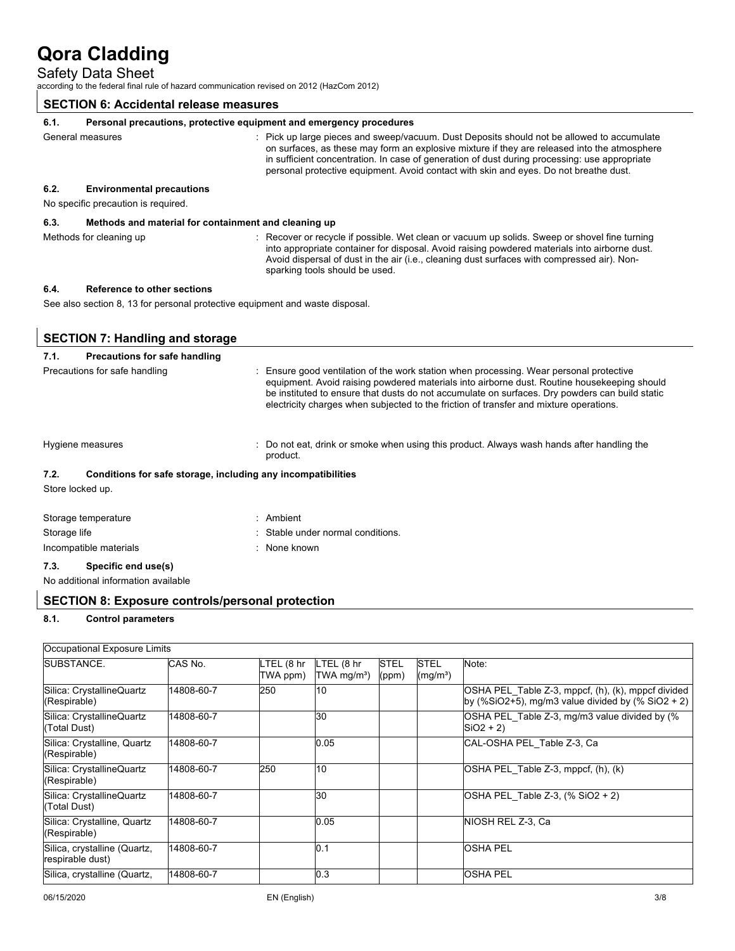# Safety Data Sheet

according to the federal final rule of hazard communication revised on 2012 (HazCom 2012)

### **SECTION 6: Accidental release measures**

#### **6.1. Personal precautions, protective equipment and emergency procedures**

|      | General measures                 | : Pick up large pieces and sweep/vacuum. Dust Deposits should not be allowed to accumulate<br>on surfaces, as these may form an explosive mixture if they are released into the atmosphere<br>in sufficient concentration. In case of generation of dust during processing: use appropriate<br>personal protective equipment. Avoid contact with skin and eyes. Do not breathe dust. |
|------|----------------------------------|--------------------------------------------------------------------------------------------------------------------------------------------------------------------------------------------------------------------------------------------------------------------------------------------------------------------------------------------------------------------------------------|
| 6.2. | <b>Environmental precautions</b> |                                                                                                                                                                                                                                                                                                                                                                                      |

No specific precaution is required.

#### **6.3. Methods and material for containment and cleaning up**

Methods for cleaning up **interpret of the COV**: Recover or recycle if possible. Wet clean or vacuum up solids. Sweep or shovel fine turning into appropriate container for disposal. Avoid raising powdered materials into airborne dust. Avoid dispersal of dust in the air (i.e., cleaning dust surfaces with compressed air). Nonsparking tools should be used.

### **6.4. Reference to other sections**

See also section 8, 13 for personal protective equipment and waste disposal.

# **SECTION 7: Handling and storage**

#### **7.1. Precautions for safe handling**

| Precautions for safe handling | Ensure good ventilation of the work station when processing. Wear personal protective<br>equipment. Avoid raising powdered materials into airborne dust. Routine housekeeping should<br>be instituted to ensure that dusts do not accumulate on surfaces. Dry powders can build static<br>electricity charges when subjected to the friction of transfer and mixture operations. |
|-------------------------------|----------------------------------------------------------------------------------------------------------------------------------------------------------------------------------------------------------------------------------------------------------------------------------------------------------------------------------------------------------------------------------|
| Hygione moneures              | Do not eat, drink or smoke when using this product. Always wesh hands after handling the                                                                                                                                                                                                                                                                                         |

Hygiene measures : Do not eat, drink or smoke when using this product. Always wash hands after handling the product.

### **7.2. Conditions for safe storage, including any incompatibilities** Store locked up.

| Storage temperature    | : Ambient                         |
|------------------------|-----------------------------------|
| Storage life           | : Stable under normal conditions. |
| Incompatible materials | : None known                      |

#### **7.3. Specific end use(s)**

No additional information available

### **SECTION 8: Exposure controls/personal protection**

#### **8.1. Control parameters**

| Occupational Exposure Limits                     |            |                        |                                       |                      |                                     |                                                                                                         |
|--------------------------------------------------|------------|------------------------|---------------------------------------|----------------------|-------------------------------------|---------------------------------------------------------------------------------------------------------|
| SUBSTANCE.                                       | CAS No.    | LTEL (8 hr<br>TWA ppm) | LTEL (8 hr<br>TWA mg/m <sup>3</sup> ) | <b>STEL</b><br>(ppm) | <b>STEL</b><br>(mg/m <sup>3</sup> ) | Note:                                                                                                   |
| Silica: CrystallineQuartz<br>(Respirable)        | 14808-60-7 | 250                    | 10                                    |                      |                                     | OSHA PEL_Table Z-3, mppcf, (h), (k), mppcf divided<br>by (%SiO2+5), mg/m3 value divided by (% SiO2 + 2) |
| Silica: CrystallineQuartz<br>(Total Dust)        | 14808-60-7 |                        | 30                                    |                      |                                     | OSHA PEL Table Z-3, mg/m3 value divided by (%<br>$SiO2 + 2)$                                            |
| Silica: Crystalline, Quartz<br>(Respirable)      | 14808-60-7 |                        | 0.05                                  |                      |                                     | CAL-OSHA PEL Table Z-3, Ca                                                                              |
| Silica: CrystallineQuartz<br>(Respirable)        | 14808-60-7 | 250                    | 10                                    |                      |                                     | OSHA PEL Table Z-3, mppcf, (h), (k)                                                                     |
| Silica: CrystallineQuartz<br>(Total Dust)        | 14808-60-7 |                        | 30                                    |                      |                                     | $\vert$ OSHA PEL Table Z-3, $\vert\%$ SiO2 + 2)                                                         |
| Silica: Crystalline, Quartz<br>(Respirable)      | 14808-60-7 |                        | 0.05                                  |                      |                                     | NIOSH REL Z-3, Ca                                                                                       |
| Silica, crystalline (Quartz,<br>respirable dust) | 14808-60-7 |                        | 0.1                                   |                      |                                     | <b>OSHA PEL</b>                                                                                         |
| Silica, crystalline (Quartz,                     | 14808-60-7 |                        | 0.3                                   |                      |                                     | <b>OSHA PEL</b>                                                                                         |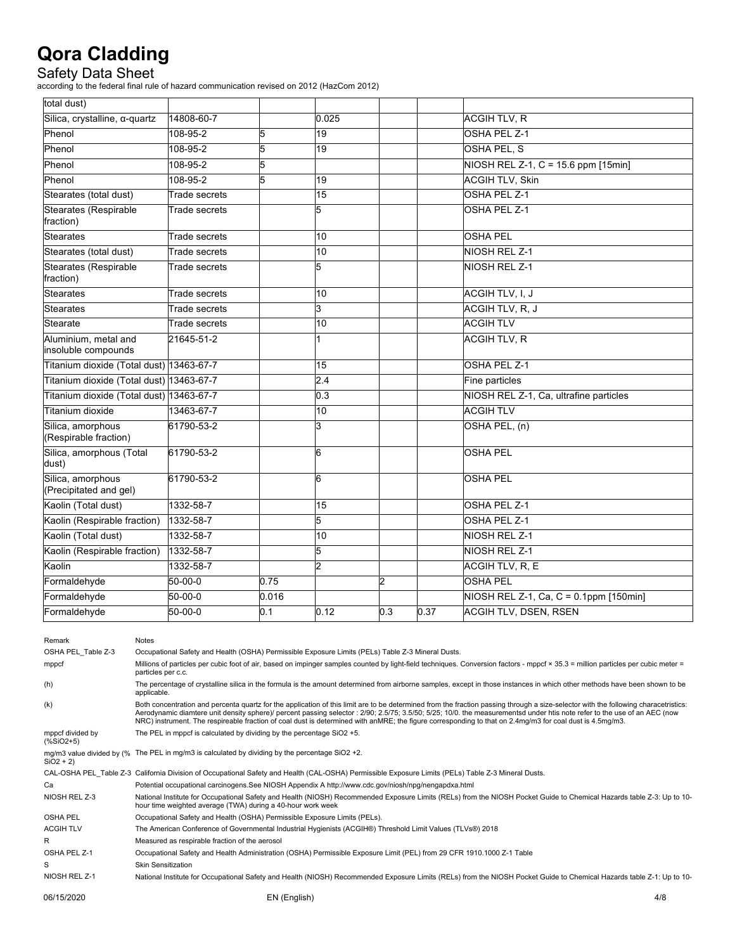Safety Data Sheet<br>according to the federal final rule of hazard communication revised on 2012 (HazCom 2012)

| total dust)                                 |                      |       |                 |     |      |                                        |
|---------------------------------------------|----------------------|-------|-----------------|-----|------|----------------------------------------|
| Silica, crystalline, α-quartz               | 14808-60-7           |       | 0.025           |     |      | <b>ACGIH TLV, R</b>                    |
| Phenol                                      | 108-95-2             | 5     | 19              |     |      | OSHA PEL Z-1                           |
| Phenol                                      | 108-95-2             | 5     | 19              |     |      | OSHA PEL, S                            |
| Phenol                                      | 108-95-2             | 5     |                 |     |      | NIOSH REL Z-1, C = 15.6 ppm [15min]    |
| Phenol                                      | 108-95-2             | 5     | 19              |     |      | <b>ACGIH TLV, Skin</b>                 |
| Stearates (total dust)                      | Trade secrets        |       | $\overline{15}$ |     |      | <b>OSHA PEL Z-1</b>                    |
| Stearates (Respirable<br>fraction)          | Trade secrets        |       | 5               |     |      | OSHA PEL Z-1                           |
| <b>Stearates</b>                            | <b>Trade secrets</b> |       | 10              |     |      | <b>OSHA PEL</b>                        |
| Stearates (total dust)                      | Trade secrets        |       | 10              |     |      | NIOSH REL Z-1                          |
| <b>Stearates (Respirable</b><br>fraction)   | Trade secrets        |       | 5               |     |      | NIOSH REL Z-1                          |
| <b>Stearates</b>                            | Trade secrets        |       | $\overline{10}$ |     |      | ACGIH TLV, I, J                        |
| <b>Stearates</b>                            | Trade secrets        |       | 3               |     |      | ACGIH TLV, R, J                        |
| Stearate                                    | Trade secrets        |       | 10              |     |      | <b>ACGIH TLV</b>                       |
| Aluminium, metal and<br>insoluble compounds | 21645-51-2           |       |                 |     |      | <b>ACGIH TLV, R</b>                    |
| Titanium dioxide (Total dust) 13463-67-7    |                      |       | 15              |     |      | OSHA PEL Z-1                           |
| Titanium dioxide (Total dust) 13463-67-7    |                      |       | 2.4             |     |      | Fine particles                         |
| Titanium dioxide (Total dust) 13463-67-7    |                      |       | 0.3             |     |      | NIOSH REL Z-1, Ca, ultrafine particles |
| Titanium dioxide                            | 13463-67-7           |       | 10              |     |      | <b>ACGIH TLV</b>                       |
| Silica, amorphous<br>(Respirable fraction)  | 61790-53-2           |       | 3               |     |      | OSHA PEL, (n)                          |
| Silica, amorphous (Total<br>dust)           | 61790-53-2           |       | 6               |     |      | <b>OSHA PEL</b>                        |
| Silica, amorphous<br>(Precipitated and gel) | 61790-53-2           |       | 6               |     |      | <b>OSHA PEL</b>                        |
| Kaolin (Total dust)                         | 1332-58-7            |       | 15              |     |      | OSHA PEL Z-1                           |
| Kaolin (Respirable fraction)                | 1332-58-7            |       | 5               |     |      | OSHA PEL Z-1                           |
| Kaolin (Total dust)                         | 1332-58-7            |       | 10              |     |      | NIOSH REL Z-1                          |
| Kaolin (Respirable fraction)                | 1332-58-7            |       | 5               |     |      | NIOSH REL Z-1                          |
| Kaolin                                      | 1332-58-7            |       | 2               |     |      | ACGIH TLV, R, E                        |
| Formaldehyde                                | $50 - 00 - 0$        | 0.75  |                 | 2   |      | <b>OSHA PEL</b>                        |
| Formaldehyde                                | $50 - 00 - 0$        | 0.016 |                 |     |      | NIOSH REL Z-1, Ca, C = 0.1ppm [150min] |
| Formaldehyde                                | $50 - 00 - 0$        | 0.1   | 0.12            | 0.3 | 0.37 | <b>ACGIH TLV, DSEN, RSEN</b>           |

| Remark                                         | <b>Notes</b>                                                                                                                                                                                                                                                                                                                                                                                                                                                                                                                |     |
|------------------------------------------------|-----------------------------------------------------------------------------------------------------------------------------------------------------------------------------------------------------------------------------------------------------------------------------------------------------------------------------------------------------------------------------------------------------------------------------------------------------------------------------------------------------------------------------|-----|
| OSHA PEL Table Z-3                             | Occupational Safety and Health (OSHA) Permissible Exposure Limits (PELs) Table Z-3 Mineral Dusts.                                                                                                                                                                                                                                                                                                                                                                                                                           |     |
| mppcf                                          | Millions of particles per cubic foot of air, based on impinger samples counted by light-field techniques. Conversion factors - mppcf × 35.3 = million particles per cubic meter =<br>particles per c.c.                                                                                                                                                                                                                                                                                                                     |     |
| (h)                                            | The percentage of crystalline silica in the formula is the amount determined from airborne samples, except in those instances in which other methods have been shown to be<br>applicable.                                                                                                                                                                                                                                                                                                                                   |     |
| (k)                                            | Both concentration and percenta quartz for the application of this limit are to be determined from the fraction passing through a size-selector with the following characetristics:<br>Aerodynamic diamtere unit density sphere)/ percent passing selector: 2/90; 2.5/75; 3.5/50; 5/25; 10/0. the measurementsd under htis note refer to the use of an AEC (now<br>NRC) instrument. The respireable fraction of coal dust is determined with anMRE; the figure corresponding to that on 2.4mg/m3 for coal dust is 4.5mg/m3. |     |
| mppcf divided by<br>$(% ^{*}{}_{6})$ (%SiO2+5) | The PEL in mppcf is calculated by dividing by the percentage SiO2 +5.                                                                                                                                                                                                                                                                                                                                                                                                                                                       |     |
| $SiO2 + 2)$                                    | mg/m3 value divided by (% The PEL in mg/m3 is calculated by dividing by the percentage SiO2 +2.                                                                                                                                                                                                                                                                                                                                                                                                                             |     |
|                                                | CAL-OSHA PEL Table Z-3 California Division of Occupational Safety and Health (CAL-OSHA) Permissible Exposure Limits (PELs) Table Z-3 Mineral Dusts.                                                                                                                                                                                                                                                                                                                                                                         |     |
| Ca                                             | Potential occupational carcinogens.See NIOSH Appendix A http://www.cdc.gov/niosh/npg/nengapdxa.html                                                                                                                                                                                                                                                                                                                                                                                                                         |     |
| NIOSH REL Z-3                                  | National Institute for Occupational Safety and Health (NIOSH) Recommended Exposure Limits (RELs) from the NIOSH Pocket Guide to Chemical Hazards table Z-3: Up to 10-<br>hour time weighted average (TWA) during a 40-hour work week                                                                                                                                                                                                                                                                                        |     |
| <b>OSHA PEL</b>                                | Occupational Safety and Health (OSHA) Permissible Exposure Limits (PELs).                                                                                                                                                                                                                                                                                                                                                                                                                                                   |     |
| <b>ACGIH TLV</b>                               | The American Conference of Governmental Industrial Hygienists (ACGIH®) Threshold Limit Values (TLVs®) 2018                                                                                                                                                                                                                                                                                                                                                                                                                  |     |
| R                                              | Measured as respirable fraction of the aerosol                                                                                                                                                                                                                                                                                                                                                                                                                                                                              |     |
| OSHA PEL Z-1                                   | Occupational Safety and Health Administration (OSHA) Permissible Exposure Limit (PEL) from 29 CFR 1910.1000 Z-1 Table                                                                                                                                                                                                                                                                                                                                                                                                       |     |
| S                                              | <b>Skin Sensitization</b>                                                                                                                                                                                                                                                                                                                                                                                                                                                                                                   |     |
| NIOSH REL Z-1                                  | National Institute for Occupational Safety and Health (NIOSH) Recommended Exposure Limits (RELs) from the NIOSH Pocket Guide to Chemical Hazards table Z-1: Up to 10-                                                                                                                                                                                                                                                                                                                                                       |     |
| 06/15/2020                                     | EN (English)                                                                                                                                                                                                                                                                                                                                                                                                                                                                                                                | 4/8 |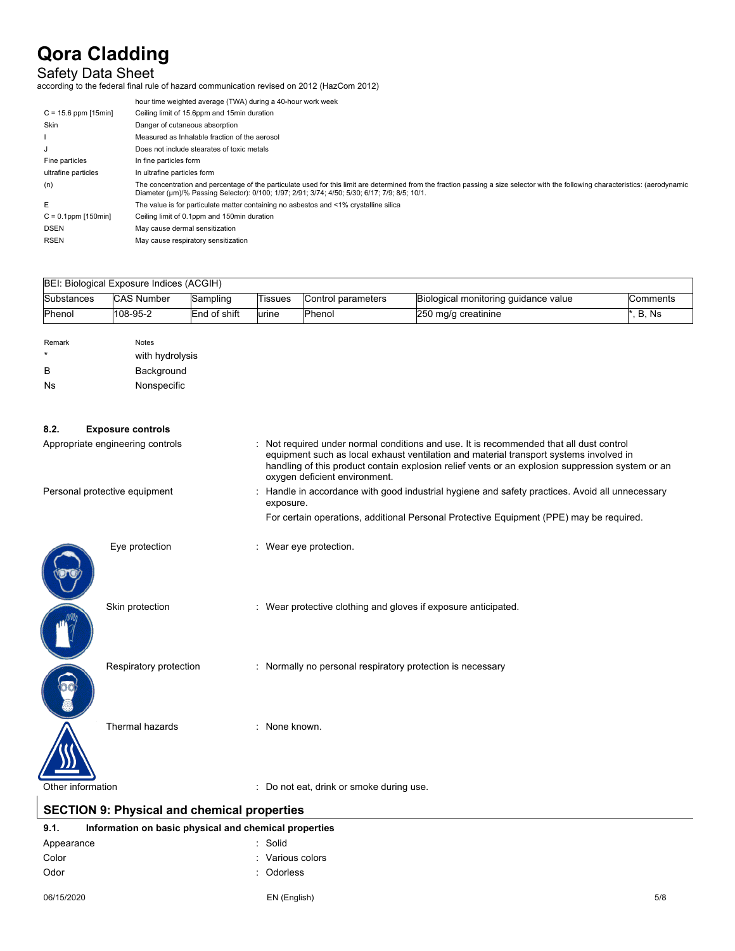# Safety Data Sheet

according to the federal final rule of hazard communication revised on 2012 (HazCom 2012)

|                        | hour time weighted average (TWA) during a 40-hour work week                                                                                                                                                                                                                        |
|------------------------|------------------------------------------------------------------------------------------------------------------------------------------------------------------------------------------------------------------------------------------------------------------------------------|
| $C = 15.6$ ppm [15min] | Ceiling limit of 15.6ppm and 15min duration                                                                                                                                                                                                                                        |
| Skin                   | Danger of cutaneous absorption                                                                                                                                                                                                                                                     |
|                        | Measured as Inhalable fraction of the aerosol                                                                                                                                                                                                                                      |
|                        | Does not include stearates of toxic metals                                                                                                                                                                                                                                         |
| Fine particles         | In fine particles form                                                                                                                                                                                                                                                             |
| ultrafine particles    | In ultrafine particles form                                                                                                                                                                                                                                                        |
| (n)                    | The concentration and percentage of the particulate used for this limit are determined from the fraction passing a size selector with the following characteristics: (aerodynamic<br>Diameter (um)/% Passing Selector): 0/100; 1/97; 2/91; 3/74; 4/50; 5/30; 6/17; 7/9; 8/5; 10/1. |
| E                      | The value is for particulate matter containing no asbestos and <1% crystalline silica                                                                                                                                                                                              |
| $C = 0.1$ ppm [150min] | Ceiling limit of 0.1ppm and 150min duration                                                                                                                                                                                                                                        |
| <b>DSEN</b>            | May cause dermal sensitization                                                                                                                                                                                                                                                     |
| <b>RSEN</b>            | May cause respiratory sensitization                                                                                                                                                                                                                                                |
|                        |                                                                                                                                                                                                                                                                                    |

| <b>Substances</b>                | <b>CAS Number</b>        | Sampling     | <b>Tissues</b>                                                                                               | Control parameters                                                                                                                                                                                                                                                                    | Biological monitoring guidance value                                                    | Comments |
|----------------------------------|--------------------------|--------------|--------------------------------------------------------------------------------------------------------------|---------------------------------------------------------------------------------------------------------------------------------------------------------------------------------------------------------------------------------------------------------------------------------------|-----------------------------------------------------------------------------------------|----------|
| Phenol                           | 108-95-2                 | End of shift | urine                                                                                                        | Phenol                                                                                                                                                                                                                                                                                | 250 mg/g creatinine                                                                     | *, B, Ns |
| Remark                           | <b>Notes</b>             |              |                                                                                                              |                                                                                                                                                                                                                                                                                       |                                                                                         |          |
|                                  | with hydrolysis          |              |                                                                                                              |                                                                                                                                                                                                                                                                                       |                                                                                         |          |
| в                                | Background               |              |                                                                                                              |                                                                                                                                                                                                                                                                                       |                                                                                         |          |
| <b>Ns</b>                        | Nonspecific              |              |                                                                                                              |                                                                                                                                                                                                                                                                                       |                                                                                         |          |
|                                  |                          |              |                                                                                                              |                                                                                                                                                                                                                                                                                       |                                                                                         |          |
| 8.2.                             | <b>Exposure controls</b> |              |                                                                                                              |                                                                                                                                                                                                                                                                                       |                                                                                         |          |
| Appropriate engineering controls |                          |              | oxygen deficient environment.                                                                                | : Not required under normal conditions and use. It is recommended that all dust control<br>equipment such as local exhaust ventilation and material transport systems involved in<br>handling of this product contain explosion relief vents or an explosion suppression system or an |                                                                                         |          |
| Personal protective equipment    |                          |              | : Handle in accordance with good industrial hygiene and safety practices. Avoid all unnecessary<br>exposure. |                                                                                                                                                                                                                                                                                       |                                                                                         |          |
|                                  |                          |              |                                                                                                              |                                                                                                                                                                                                                                                                                       | For certain operations, additional Personal Protective Equipment (PPE) may be required. |          |
|                                  | Eye protection           |              |                                                                                                              | : Wear eye protection.                                                                                                                                                                                                                                                                |                                                                                         |          |

Skin protection : Wear protective clothing and gloves if exposure anticipated.

Respiratory protection : Normally no personal respiratory protection is necessary

Thermal hazards : None known.

0

Other information in the state of the contract of the contract of the contract of the contract of the contract of the contract of the contract of the contract of the contract of the contract of the contract of the contract

# **SECTION 9: Physical and chemical properties**

#### **9.1. Information on basic physical and chemical properties** Appearance : Solid

| Appearance | שווטט            |
|------------|------------------|
| Color      | : Various colors |
| Odor       | : Odorless       |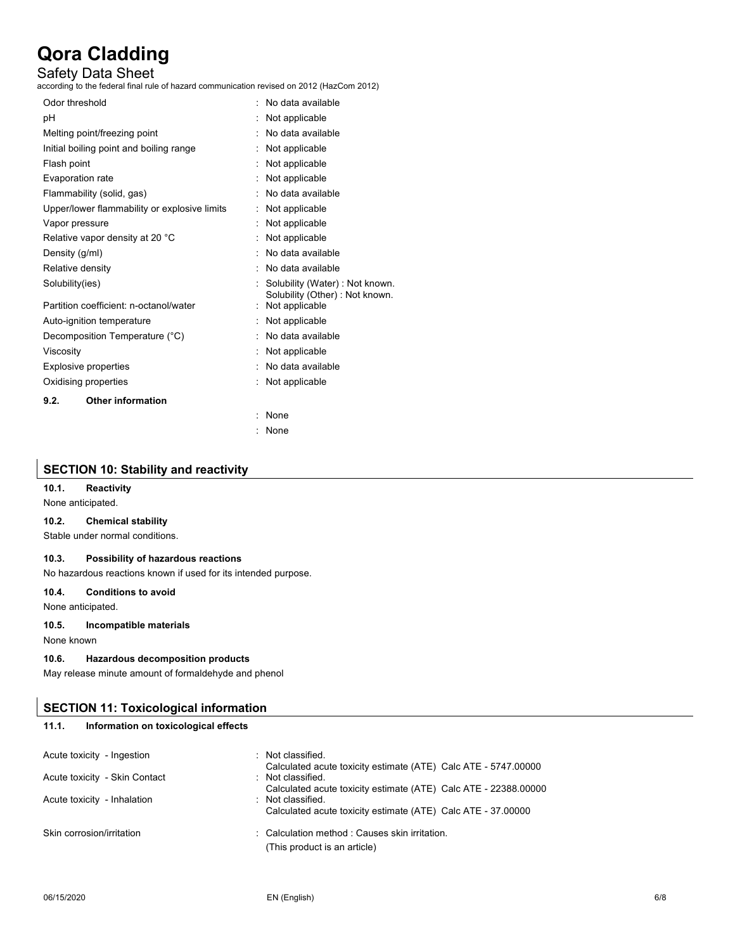# Safety Data Sheet

according to the federal final rule of hazard communication revised on 2012 (HazCom 2012)

| Odor threshold                               | No data available                                                 |
|----------------------------------------------|-------------------------------------------------------------------|
| рH                                           | Not applicable                                                    |
| Melting point/freezing point                 | No data available                                                 |
| Initial boiling point and boiling range      | Not applicable                                                    |
| Flash point                                  | Not applicable                                                    |
| Evaporation rate                             | Not applicable                                                    |
| Flammability (solid, gas)                    | No data available                                                 |
| Upper/lower flammability or explosive limits | Not applicable                                                    |
| Vapor pressure                               | Not applicable                                                    |
| Relative vapor density at 20 °C              | Not applicable                                                    |
| Density (g/ml)                               | No data available                                                 |
| Relative density                             | No data available                                                 |
| Solubility(ies)                              | Solubility (Water) : Not known.<br>Solubility (Other): Not known. |
| Partition coefficient: n-octanol/water       | Not applicable                                                    |
| Auto-ignition temperature                    | Not applicable                                                    |
| Decomposition Temperature (°C)               | No data available                                                 |
| Viscosity                                    | Not applicable                                                    |
| <b>Explosive properties</b>                  | No data available                                                 |
| Oxidising properties                         | Not applicable                                                    |
| <b>Other information</b><br>9.2.             |                                                                   |
|                                              | None<br>t                                                         |
|                                              | None                                                              |

# **SECTION 10: Stability and reactivity**

### **10.1. Reactivity**

None anticipated.

# **10.2. Chemical stability**

Stable under normal conditions.

#### **10.3. Possibility of hazardous reactions**

No hazardous reactions known if used for its intended purpose.

# **10.4. Conditions to avoid**

None anticipated.

#### **10.5. Incompatible materials**

None known

#### **10.6. Hazardous decomposition products**

May release minute amount of formaldehyde and phenol

# **SECTION 11: Toxicological information**

# **11.1. Information on toxicological effects**

| Acute toxicity - Ingestion    | : Not classified.<br>Calculated acute toxicity estimate (ATE) Calc ATE - 5747.00000 |
|-------------------------------|-------------------------------------------------------------------------------------|
| Acute toxicity - Skin Contact | : Not classified.                                                                   |
|                               | Calculated acute toxicity estimate (ATE) Calc ATE - 22388.00000                     |
| Acute toxicity - Inhalation   | : Not classified.                                                                   |
|                               | Calculated acute toxicity estimate (ATE) Calc ATE - 37.00000                        |
| Skin corrosion/irritation     | : Calculation method : Causes skin irritation.                                      |
|                               | (This product is an article)                                                        |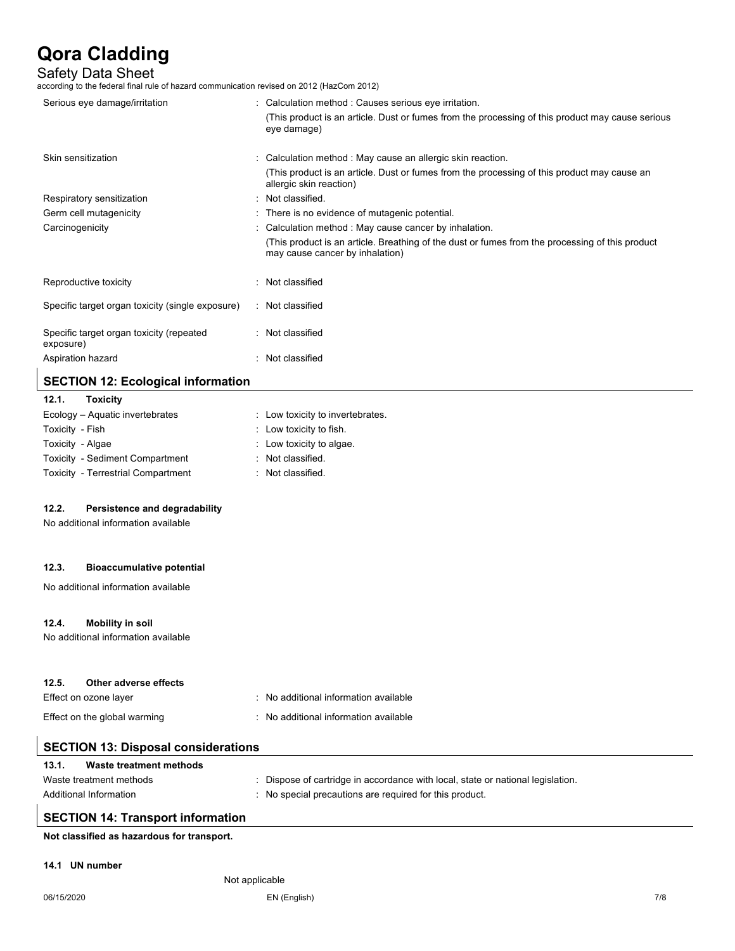Safety Data Sheet<br>according to the federal final rule of hazard communication revised on 2012 (HazCom 2012)

| Serious eye damage/irritation                         |   | Calculation method : Causes serious eye irritation.                                                                                |
|-------------------------------------------------------|---|------------------------------------------------------------------------------------------------------------------------------------|
|                                                       |   | (This product is an article. Dust or fumes from the processing of this product may cause serious<br>eye damage)                    |
| Skin sensitization                                    |   | Calculation method : May cause an allergic skin reaction.                                                                          |
|                                                       |   | (This product is an article. Dust or fumes from the processing of this product may cause an<br>allergic skin reaction)             |
| Respiratory sensitization                             | ÷ | Not classified.                                                                                                                    |
| Germ cell mutagenicity                                |   | : There is no evidence of mutagenic potential.                                                                                     |
| Carcinogenicity                                       |   | Calculation method: May cause cancer by inhalation.                                                                                |
|                                                       |   | (This product is an article. Breathing of the dust or fumes from the processing of this product<br>may cause cancer by inhalation) |
| Reproductive toxicity                                 |   | Not classified                                                                                                                     |
| Specific target organ toxicity (single exposure)      |   | : Not classified                                                                                                                   |
| Specific target organ toxicity (repeated<br>exposure) |   | : Not classified                                                                                                                   |
| Aspiration hazard                                     |   | Not classified                                                                                                                     |
| <b>SECTION 12: Ecological information</b>             |   |                                                                                                                                    |

# **12.1. Toxicity**

| $14.1.$ $19A1V1V$                  |                                    |
|------------------------------------|------------------------------------|
| Ecology – Aguatic invertebrates    | : Low toxicity to invertebrates.   |
| Toxicity - Fish                    | $\therefore$ Low toxicity to fish. |
| Toxicity - Algae                   | : Low toxicity to algae.           |
| Toxicity - Sediment Compartment    | : Not classified.                  |
| Toxicity - Terrestrial Compartment | : Not classified.                  |
|                                    |                                    |

## **12.2. Persistence and degradability**

No additional information available

### **12.3. Bioaccumulative potential**

No additional information available

#### **12.4. Mobility in soil**

No additional information available

| 12.5. | Other adverse effects        |                                       |
|-------|------------------------------|---------------------------------------|
|       | Effect on ozone layer        | No additional information available   |
|       | Effect on the global warming | : No additional information available |

|  |  | <b>SECTION 13: Disposal considerations</b> |
|--|--|--------------------------------------------|
|--|--|--------------------------------------------|

| 13.1. | Waste treatment methods |                                                                               |
|-------|-------------------------|-------------------------------------------------------------------------------|
|       | Waste treatment methods | Dispose of cartridge in accordance with local, state or national legislation. |
|       | Additional Information  | No special precautions are required for this product.                         |

# **SECTION 14: Transport information**

**Not classified as hazardous for transport.**

#### **14.1 UN number**